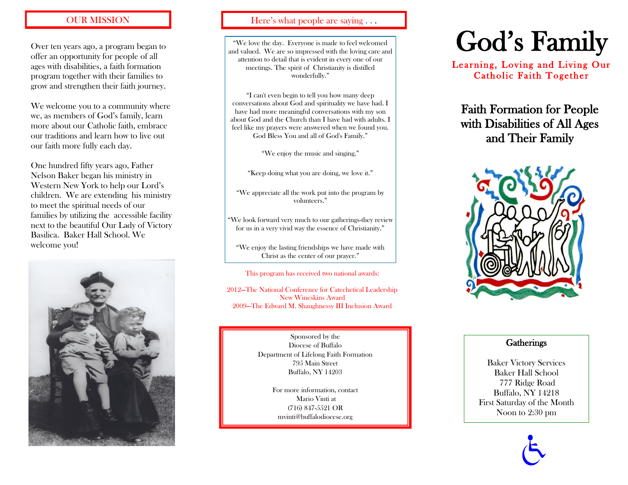Over ten years ago, a program began to offer an opportunity for people of all ages with disabilities, a faith formation program together with their families to grow and strengthen their faith journey.

We welcome you to a community where we, as members of God's family, learn more about our Catholic faith, embrace our traditions and learn how to live out our faith more fully each day.

One hundred fifty years ago, Father Nelson Baker began his ministry in Western New York to help our Lord's children. We are extending his ministry to meet the spiritual needs of our families by utilizing the accessible facility next to the beautiful Our Lady of Victory Basilica. Baker Hall School. We welcome you!



#### OUR MISSION Here's what people are saying ...

"We love the day. Everyone is made to feel welcomed and valued. We are so impressed with the loving care and attention to detail that is evident in every one of our meetings. The spirit of Christianity is distilled wonderfully."

"I can't even begin to tell you how many deep conversations about God and spirituality we have had. I have had more meaningful conversations with my son about God and the Church than I have had with adults. I feel like my prayers were answered when we found you. God Bless You and all of God's Family."

"We enjoy the music and singing."

"Keep doing what you are doing, we love it."

"We appreciate all the work put into the program by volunteers."

"We look forward very much to our gatherings-they review for us in a very vivid way the essence of Christianity."

"We enjoy the lasting friendships we have made with Christ as the center of our prayer."

This program has received two national awards:

2012—The National Conference for Catechetical Leadership New Wineskins Award 2009—The Edward M. Shaughnessy III Inclusion Award

> Sponsored by the Diocese of Buffalo Department of Lifelong Faith Formation 795 Main Street Buffalo, NY 14203

> > For more information, contact Mario Vinti at (716) 847-5521 OR mvinti@buffalodiocese.org

# God's Family

Learning, Loving and Living Our Catholic Faith Together

Faith Formation for People with Disabilities of All Ages and Their Family



#### **Gatherings**

Baker Victory Services Baker Hall School 777 Ridge Road Buffalo, NY 14218 First Saturday of the Month Noon to 2:30 pm